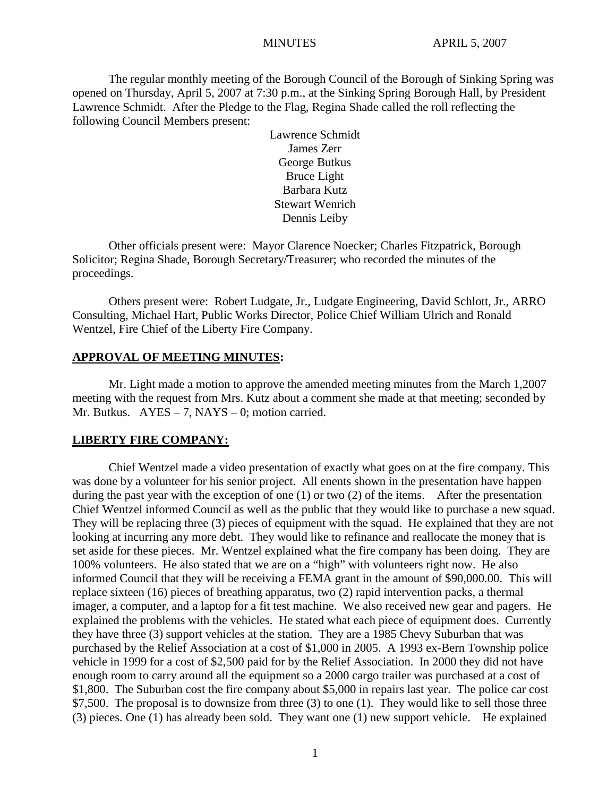The regular monthly meeting of the Borough Council of the Borough of Sinking Spring was opened on Thursday, April 5, 2007 at 7:30 p.m., at the Sinking Spring Borough Hall, by President Lawrence Schmidt. After the Pledge to the Flag, Regina Shade called the roll reflecting the following Council Members present:

> Lawrence Schmidt James Zerr George Butkus Bruce Light Barbara Kutz Stewart Wenrich Dennis Leiby

Other officials present were: Mayor Clarence Noecker; Charles Fitzpatrick, Borough Solicitor; Regina Shade, Borough Secretary/Treasurer; who recorded the minutes of the proceedings.

Others present were: Robert Ludgate, Jr., Ludgate Engineering, David Schlott, Jr., ARRO Consulting, Michael Hart, Public Works Director, Police Chief William Ulrich and Ronald Wentzel, Fire Chief of the Liberty Fire Company.

#### **APPROVAL OF MEETING MINUTES:**

Mr. Light made a motion to approve the amended meeting minutes from the March 1,2007 meeting with the request from Mrs. Kutz about a comment she made at that meeting; seconded by Mr. Butkus.  $AYES - 7$ , NAYS – 0; motion carried.

#### **LIBERTY FIRE COMPANY:**

Chief Wentzel made a video presentation of exactly what goes on at the fire company. This was done by a volunteer for his senior project. All enents shown in the presentation have happen during the past year with the exception of one (1) or two (2) of the items. After the presentation Chief Wentzel informed Council as well as the public that they would like to purchase a new squad. They will be replacing three (3) pieces of equipment with the squad. He explained that they are not looking at incurring any more debt. They would like to refinance and reallocate the money that is set aside for these pieces. Mr. Wentzel explained what the fire company has been doing. They are 100% volunteers. He also stated that we are on a "high" with volunteers right now. He also informed Council that they will be receiving a FEMA grant in the amount of \$90,000.00. This will replace sixteen (16) pieces of breathing apparatus, two (2) rapid intervention packs, a thermal imager, a computer, and a laptop for a fit test machine. We also received new gear and pagers. He explained the problems with the vehicles. He stated what each piece of equipment does. Currently they have three (3) support vehicles at the station. They are a 1985 Chevy Suburban that was purchased by the Relief Association at a cost of \$1,000 in 2005. A 1993 ex-Bern Township police vehicle in 1999 for a cost of \$2,500 paid for by the Relief Association. In 2000 they did not have enough room to carry around all the equipment so a 2000 cargo trailer was purchased at a cost of \$1,800. The Suburban cost the fire company about \$5,000 in repairs last year. The police car cost \$7,500. The proposal is to downsize from three (3) to one (1). They would like to sell those three (3) pieces. One (1) has already been sold. They want one (1) new support vehicle. He explained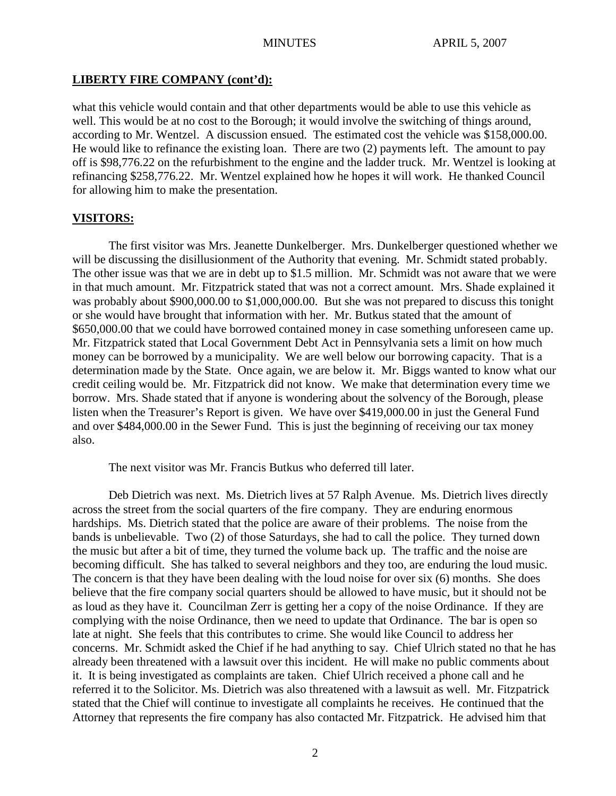#### **LIBERTY FIRE COMPANY (cont'd):**

what this vehicle would contain and that other departments would be able to use this vehicle as well. This would be at no cost to the Borough; it would involve the switching of things around, according to Mr. Wentzel. A discussion ensued. The estimated cost the vehicle was \$158,000.00. He would like to refinance the existing loan. There are two (2) payments left. The amount to pay off is \$98,776.22 on the refurbishment to the engine and the ladder truck. Mr. Wentzel is looking at refinancing \$258,776.22. Mr. Wentzel explained how he hopes it will work. He thanked Council for allowing him to make the presentation.

#### **VISITORS:**

The first visitor was Mrs. Jeanette Dunkelberger. Mrs. Dunkelberger questioned whether we will be discussing the disillusionment of the Authority that evening. Mr. Schmidt stated probably. The other issue was that we are in debt up to \$1.5 million. Mr. Schmidt was not aware that we were in that much amount. Mr. Fitzpatrick stated that was not a correct amount. Mrs. Shade explained it was probably about \$900,000.00 to \$1,000,000.00. But she was not prepared to discuss this tonight or she would have brought that information with her. Mr. Butkus stated that the amount of \$650,000.00 that we could have borrowed contained money in case something unforeseen came up. Mr. Fitzpatrick stated that Local Government Debt Act in Pennsylvania sets a limit on how much money can be borrowed by a municipality. We are well below our borrowing capacity. That is a determination made by the State. Once again, we are below it. Mr. Biggs wanted to know what our credit ceiling would be. Mr. Fitzpatrick did not know. We make that determination every time we borrow. Mrs. Shade stated that if anyone is wondering about the solvency of the Borough, please listen when the Treasurer's Report is given. We have over \$419,000.00 in just the General Fund and over \$484,000.00 in the Sewer Fund. This is just the beginning of receiving our tax money also.

The next visitor was Mr. Francis Butkus who deferred till later.

Deb Dietrich was next. Ms. Dietrich lives at 57 Ralph Avenue. Ms. Dietrich lives directly across the street from the social quarters of the fire company. They are enduring enormous hardships. Ms. Dietrich stated that the police are aware of their problems. The noise from the bands is unbelievable. Two (2) of those Saturdays, she had to call the police. They turned down the music but after a bit of time, they turned the volume back up. The traffic and the noise are becoming difficult. She has talked to several neighbors and they too, are enduring the loud music. The concern is that they have been dealing with the loud noise for over six (6) months. She does believe that the fire company social quarters should be allowed to have music, but it should not be as loud as they have it. Councilman Zerr is getting her a copy of the noise Ordinance. If they are complying with the noise Ordinance, then we need to update that Ordinance. The bar is open so late at night. She feels that this contributes to crime. She would like Council to address her concerns. Mr. Schmidt asked the Chief if he had anything to say. Chief Ulrich stated no that he has already been threatened with a lawsuit over this incident. He will make no public comments about it. It is being investigated as complaints are taken. Chief Ulrich received a phone call and he referred it to the Solicitor. Ms. Dietrich was also threatened with a lawsuit as well. Mr. Fitzpatrick stated that the Chief will continue to investigate all complaints he receives. He continued that the Attorney that represents the fire company has also contacted Mr. Fitzpatrick. He advised him that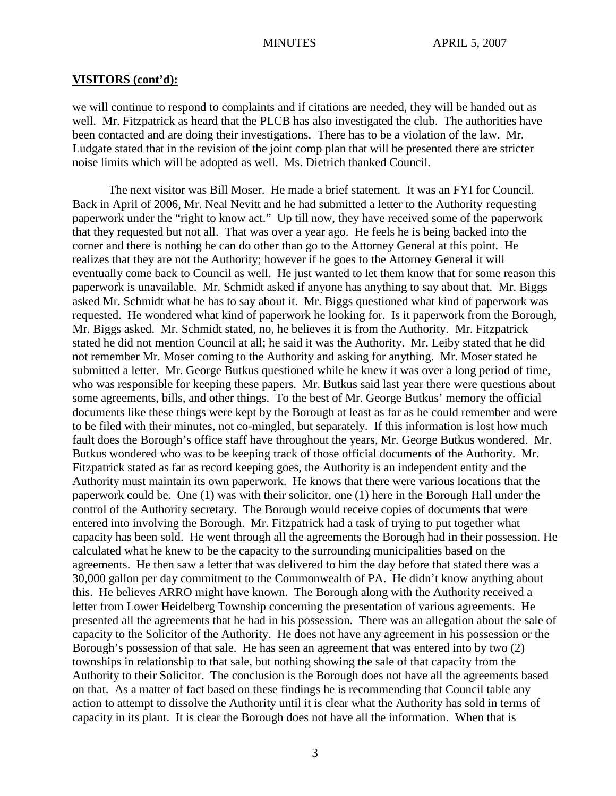we will continue to respond to complaints and if citations are needed, they will be handed out as well. Mr. Fitzpatrick as heard that the PLCB has also investigated the club. The authorities have been contacted and are doing their investigations. There has to be a violation of the law. Mr. Ludgate stated that in the revision of the joint comp plan that will be presented there are stricter noise limits which will be adopted as well. Ms. Dietrich thanked Council.

The next visitor was Bill Moser. He made a brief statement. It was an FYI for Council. Back in April of 2006, Mr. Neal Nevitt and he had submitted a letter to the Authority requesting paperwork under the "right to know act." Up till now, they have received some of the paperwork that they requested but not all. That was over a year ago. He feels he is being backed into the corner and there is nothing he can do other than go to the Attorney General at this point. He realizes that they are not the Authority; however if he goes to the Attorney General it will eventually come back to Council as well. He just wanted to let them know that for some reason this paperwork is unavailable. Mr. Schmidt asked if anyone has anything to say about that. Mr. Biggs asked Mr. Schmidt what he has to say about it. Mr. Biggs questioned what kind of paperwork was requested. He wondered what kind of paperwork he looking for. Is it paperwork from the Borough, Mr. Biggs asked. Mr. Schmidt stated, no, he believes it is from the Authority. Mr. Fitzpatrick stated he did not mention Council at all; he said it was the Authority. Mr. Leiby stated that he did not remember Mr. Moser coming to the Authority and asking for anything. Mr. Moser stated he submitted a letter. Mr. George Butkus questioned while he knew it was over a long period of time, who was responsible for keeping these papers. Mr. Butkus said last year there were questions about some agreements, bills, and other things. To the best of Mr. George Butkus' memory the official documents like these things were kept by the Borough at least as far as he could remember and were to be filed with their minutes, not co-mingled, but separately. If this information is lost how much fault does the Borough's office staff have throughout the years, Mr. George Butkus wondered. Mr. Butkus wondered who was to be keeping track of those official documents of the Authority. Mr. Fitzpatrick stated as far as record keeping goes, the Authority is an independent entity and the Authority must maintain its own paperwork. He knows that there were various locations that the paperwork could be. One (1) was with their solicitor, one (1) here in the Borough Hall under the control of the Authority secretary. The Borough would receive copies of documents that were entered into involving the Borough. Mr. Fitzpatrick had a task of trying to put together what capacity has been sold. He went through all the agreements the Borough had in their possession. He calculated what he knew to be the capacity to the surrounding municipalities based on the agreements. He then saw a letter that was delivered to him the day before that stated there was a 30,000 gallon per day commitment to the Commonwealth of PA. He didn't know anything about this. He believes ARRO might have known. The Borough along with the Authority received a letter from Lower Heidelberg Township concerning the presentation of various agreements. He presented all the agreements that he had in his possession. There was an allegation about the sale of capacity to the Solicitor of the Authority. He does not have any agreement in his possession or the Borough's possession of that sale. He has seen an agreement that was entered into by two (2) townships in relationship to that sale, but nothing showing the sale of that capacity from the Authority to their Solicitor. The conclusion is the Borough does not have all the agreements based on that. As a matter of fact based on these findings he is recommending that Council table any action to attempt to dissolve the Authority until it is clear what the Authority has sold in terms of capacity in its plant. It is clear the Borough does not have all the information. When that is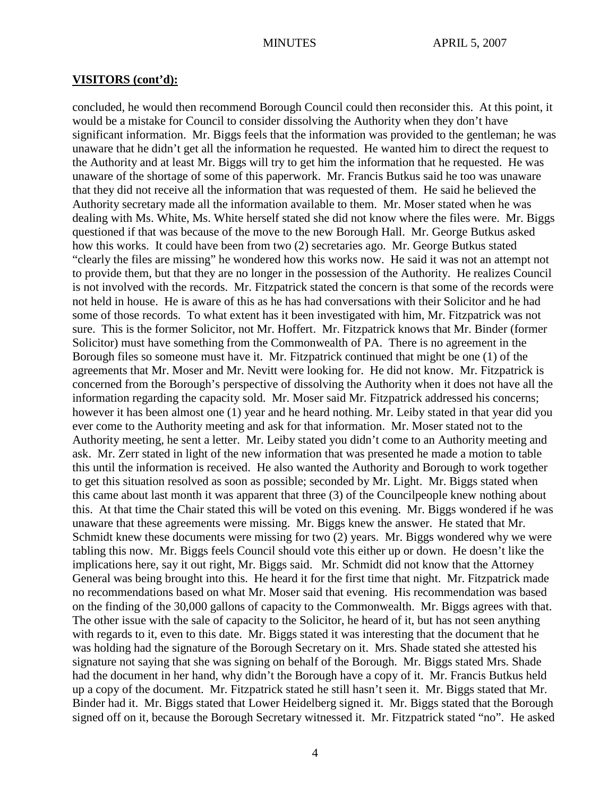concluded, he would then recommend Borough Council could then reconsider this. At this point, it would be a mistake for Council to consider dissolving the Authority when they don't have significant information. Mr. Biggs feels that the information was provided to the gentleman; he was unaware that he didn't get all the information he requested. He wanted him to direct the request to the Authority and at least Mr. Biggs will try to get him the information that he requested. He was unaware of the shortage of some of this paperwork. Mr. Francis Butkus said he too was unaware that they did not receive all the information that was requested of them. He said he believed the Authority secretary made all the information available to them. Mr. Moser stated when he was dealing with Ms. White, Ms. White herself stated she did not know where the files were. Mr. Biggs questioned if that was because of the move to the new Borough Hall. Mr. George Butkus asked how this works. It could have been from two (2) secretaries ago. Mr. George Butkus stated "clearly the files are missing" he wondered how this works now. He said it was not an attempt not to provide them, but that they are no longer in the possession of the Authority. He realizes Council is not involved with the records. Mr. Fitzpatrick stated the concern is that some of the records were not held in house. He is aware of this as he has had conversations with their Solicitor and he had some of those records. To what extent has it been investigated with him, Mr. Fitzpatrick was not sure. This is the former Solicitor, not Mr. Hoffert. Mr. Fitzpatrick knows that Mr. Binder (former Solicitor) must have something from the Commonwealth of PA. There is no agreement in the Borough files so someone must have it. Mr. Fitzpatrick continued that might be one (1) of the agreements that Mr. Moser and Mr. Nevitt were looking for. He did not know. Mr. Fitzpatrick is concerned from the Borough's perspective of dissolving the Authority when it does not have all the information regarding the capacity sold. Mr. Moser said Mr. Fitzpatrick addressed his concerns; however it has been almost one (1) year and he heard nothing. Mr. Leiby stated in that year did you ever come to the Authority meeting and ask for that information. Mr. Moser stated not to the Authority meeting, he sent a letter. Mr. Leiby stated you didn't come to an Authority meeting and ask. Mr. Zerr stated in light of the new information that was presented he made a motion to table this until the information is received. He also wanted the Authority and Borough to work together to get this situation resolved as soon as possible; seconded by Mr. Light. Mr. Biggs stated when this came about last month it was apparent that three (3) of the Councilpeople knew nothing about this. At that time the Chair stated this will be voted on this evening. Mr. Biggs wondered if he was unaware that these agreements were missing. Mr. Biggs knew the answer. He stated that Mr. Schmidt knew these documents were missing for two (2) years. Mr. Biggs wondered why we were tabling this now. Mr. Biggs feels Council should vote this either up or down. He doesn't like the implications here, say it out right, Mr. Biggs said. Mr. Schmidt did not know that the Attorney General was being brought into this. He heard it for the first time that night. Mr. Fitzpatrick made no recommendations based on what Mr. Moser said that evening. His recommendation was based on the finding of the 30,000 gallons of capacity to the Commonwealth. Mr. Biggs agrees with that. The other issue with the sale of capacity to the Solicitor, he heard of it, but has not seen anything with regards to it, even to this date. Mr. Biggs stated it was interesting that the document that he was holding had the signature of the Borough Secretary on it. Mrs. Shade stated she attested his signature not saying that she was signing on behalf of the Borough. Mr. Biggs stated Mrs. Shade had the document in her hand, why didn't the Borough have a copy of it. Mr. Francis Butkus held up a copy of the document. Mr. Fitzpatrick stated he still hasn't seen it. Mr. Biggs stated that Mr. Binder had it. Mr. Biggs stated that Lower Heidelberg signed it. Mr. Biggs stated that the Borough signed off on it, because the Borough Secretary witnessed it. Mr. Fitzpatrick stated "no". He asked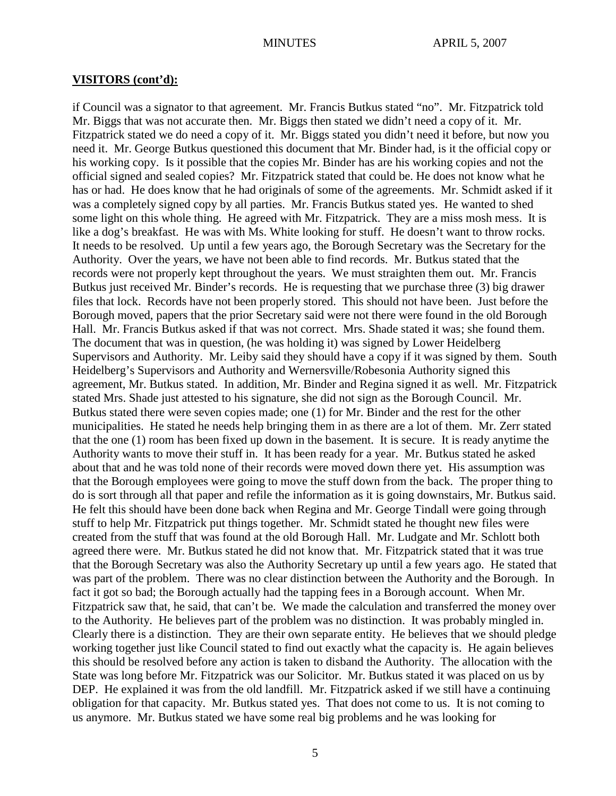if Council was a signator to that agreement. Mr. Francis Butkus stated "no". Mr. Fitzpatrick told Mr. Biggs that was not accurate then. Mr. Biggs then stated we didn't need a copy of it. Mr. Fitzpatrick stated we do need a copy of it. Mr. Biggs stated you didn't need it before, but now you need it. Mr. George Butkus questioned this document that Mr. Binder had, is it the official copy or his working copy. Is it possible that the copies Mr. Binder has are his working copies and not the official signed and sealed copies? Mr. Fitzpatrick stated that could be. He does not know what he has or had. He does know that he had originals of some of the agreements. Mr. Schmidt asked if it was a completely signed copy by all parties. Mr. Francis Butkus stated yes. He wanted to shed some light on this whole thing. He agreed with Mr. Fitzpatrick. They are a miss mosh mess. It is like a dog's breakfast. He was with Ms. White looking for stuff. He doesn't want to throw rocks. It needs to be resolved. Up until a few years ago, the Borough Secretary was the Secretary for the Authority. Over the years, we have not been able to find records. Mr. Butkus stated that the records were not properly kept throughout the years. We must straighten them out. Mr. Francis Butkus just received Mr. Binder's records. He is requesting that we purchase three (3) big drawer files that lock. Records have not been properly stored. This should not have been. Just before the Borough moved, papers that the prior Secretary said were not there were found in the old Borough Hall. Mr. Francis Butkus asked if that was not correct. Mrs. Shade stated it was; she found them. The document that was in question, (he was holding it) was signed by Lower Heidelberg Supervisors and Authority. Mr. Leiby said they should have a copy if it was signed by them. South Heidelberg's Supervisors and Authority and Wernersville/Robesonia Authority signed this agreement, Mr. Butkus stated. In addition, Mr. Binder and Regina signed it as well. Mr. Fitzpatrick stated Mrs. Shade just attested to his signature, she did not sign as the Borough Council. Mr. Butkus stated there were seven copies made; one (1) for Mr. Binder and the rest for the other municipalities. He stated he needs help bringing them in as there are a lot of them. Mr. Zerr stated that the one (1) room has been fixed up down in the basement. It is secure. It is ready anytime the Authority wants to move their stuff in. It has been ready for a year. Mr. Butkus stated he asked about that and he was told none of their records were moved down there yet. His assumption was that the Borough employees were going to move the stuff down from the back. The proper thing to do is sort through all that paper and refile the information as it is going downstairs, Mr. Butkus said. He felt this should have been done back when Regina and Mr. George Tindall were going through stuff to help Mr. Fitzpatrick put things together. Mr. Schmidt stated he thought new files were created from the stuff that was found at the old Borough Hall. Mr. Ludgate and Mr. Schlott both agreed there were. Mr. Butkus stated he did not know that. Mr. Fitzpatrick stated that it was true that the Borough Secretary was also the Authority Secretary up until a few years ago. He stated that was part of the problem. There was no clear distinction between the Authority and the Borough. In fact it got so bad; the Borough actually had the tapping fees in a Borough account. When Mr. Fitzpatrick saw that, he said, that can't be. We made the calculation and transferred the money over to the Authority. He believes part of the problem was no distinction. It was probably mingled in. Clearly there is a distinction. They are their own separate entity. He believes that we should pledge working together just like Council stated to find out exactly what the capacity is. He again believes this should be resolved before any action is taken to disband the Authority. The allocation with the State was long before Mr. Fitzpatrick was our Solicitor. Mr. Butkus stated it was placed on us by DEP. He explained it was from the old landfill. Mr. Fitzpatrick asked if we still have a continuing obligation for that capacity. Mr. Butkus stated yes. That does not come to us. It is not coming to us anymore. Mr. Butkus stated we have some real big problems and he was looking for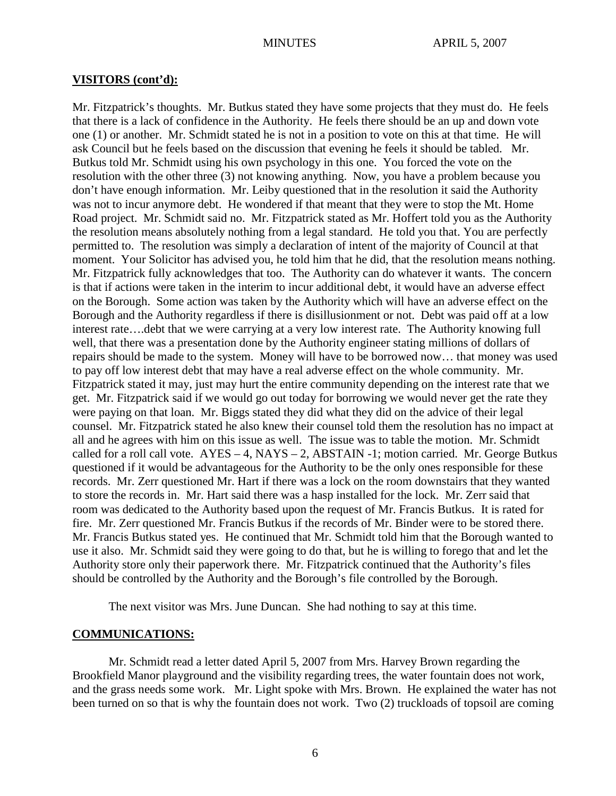Mr. Fitzpatrick's thoughts. Mr. Butkus stated they have some projects that they must do. He feels that there is a lack of confidence in the Authority. He feels there should be an up and down vote one (1) or another. Mr. Schmidt stated he is not in a position to vote on this at that time. He will ask Council but he feels based on the discussion that evening he feels it should be tabled. Mr. Butkus told Mr. Schmidt using his own psychology in this one. You forced the vote on the resolution with the other three (3) not knowing anything. Now, you have a problem because you don't have enough information. Mr. Leiby questioned that in the resolution it said the Authority was not to incur anymore debt. He wondered if that meant that they were to stop the Mt. Home Road project. Mr. Schmidt said no. Mr. Fitzpatrick stated as Mr. Hoffert told you as the Authority the resolution means absolutely nothing from a legal standard. He told you that. You are perfectly permitted to. The resolution was simply a declaration of intent of the majority of Council at that moment. Your Solicitor has advised you, he told him that he did, that the resolution means nothing. Mr. Fitzpatrick fully acknowledges that too. The Authority can do whatever it wants. The concern is that if actions were taken in the interim to incur additional debt, it would have an adverse effect on the Borough. Some action was taken by the Authority which will have an adverse effect on the Borough and the Authority regardless if there is disillusionment or not. Debt was paid off at a low interest rate….debt that we were carrying at a very low interest rate. The Authority knowing full well, that there was a presentation done by the Authority engineer stating millions of dollars of repairs should be made to the system. Money will have to be borrowed now… that money was used to pay off low interest debt that may have a real adverse effect on the whole community. Mr. Fitzpatrick stated it may, just may hurt the entire community depending on the interest rate that we get. Mr. Fitzpatrick said if we would go out today for borrowing we would never get the rate they were paying on that loan. Mr. Biggs stated they did what they did on the advice of their legal counsel. Mr. Fitzpatrick stated he also knew their counsel told them the resolution has no impact at all and he agrees with him on this issue as well. The issue was to table the motion. Mr. Schmidt called for a roll call vote.  $AYES - 4$ ,  $NAYS - 2$ ,  $ABSTAIN -1$ ; motion carried. Mr. George Butkus questioned if it would be advantageous for the Authority to be the only ones responsible for these records. Mr. Zerr questioned Mr. Hart if there was a lock on the room downstairs that they wanted to store the records in. Mr. Hart said there was a hasp installed for the lock. Mr. Zerr said that room was dedicated to the Authority based upon the request of Mr. Francis Butkus. It is rated for fire. Mr. Zerr questioned Mr. Francis Butkus if the records of Mr. Binder were to be stored there. Mr. Francis Butkus stated yes. He continued that Mr. Schmidt told him that the Borough wanted to use it also. Mr. Schmidt said they were going to do that, but he is willing to forego that and let the Authority store only their paperwork there. Mr. Fitzpatrick continued that the Authority's files should be controlled by the Authority and the Borough's file controlled by the Borough.

The next visitor was Mrs. June Duncan. She had nothing to say at this time.

#### **COMMUNICATIONS:**

Mr. Schmidt read a letter dated April 5, 2007 from Mrs. Harvey Brown regarding the Brookfield Manor playground and the visibility regarding trees, the water fountain does not work, and the grass needs some work. Mr. Light spoke with Mrs. Brown. He explained the water has not been turned on so that is why the fountain does not work. Two (2) truckloads of topsoil are coming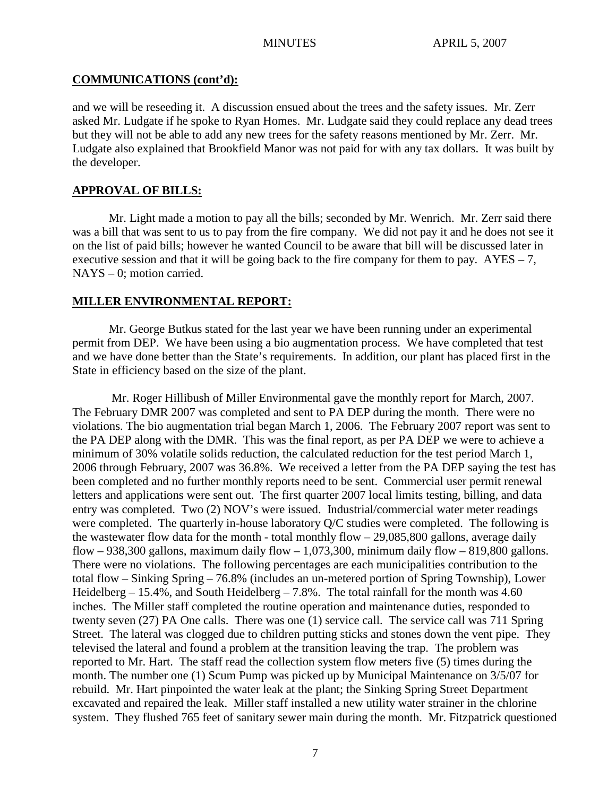# **COMMUNICATIONS (cont'd):**

and we will be reseeding it. A discussion ensued about the trees and the safety issues. Mr. Zerr asked Mr. Ludgate if he spoke to Ryan Homes. Mr. Ludgate said they could replace any dead trees but they will not be able to add any new trees for the safety reasons mentioned by Mr. Zerr. Mr. Ludgate also explained that Brookfield Manor was not paid for with any tax dollars. It was built by the developer.

# **APPROVAL OF BILLS:**

Mr. Light made a motion to pay all the bills; seconded by Mr. Wenrich. Mr. Zerr said there was a bill that was sent to us to pay from the fire company. We did not pay it and he does not see it on the list of paid bills; however he wanted Council to be aware that bill will be discussed later in executive session and that it will be going back to the fire company for them to pay.  $AYES - 7$ , NAYS – 0; motion carried.

## **MILLER ENVIRONMENTAL REPORT:**

Mr. George Butkus stated for the last year we have been running under an experimental permit from DEP. We have been using a bio augmentation process. We have completed that test and we have done better than the State's requirements. In addition, our plant has placed first in the State in efficiency based on the size of the plant.

Mr. Roger Hillibush of Miller Environmental gave the monthly report for March, 2007. The February DMR 2007 was completed and sent to PA DEP during the month. There were no violations. The bio augmentation trial began March 1, 2006. The February 2007 report was sent to the PA DEP along with the DMR. This was the final report, as per PA DEP we were to achieve a minimum of 30% volatile solids reduction, the calculated reduction for the test period March 1, 2006 through February, 2007 was 36.8%. We received a letter from the PA DEP saying the test has been completed and no further monthly reports need to be sent. Commercial user permit renewal letters and applications were sent out. The first quarter 2007 local limits testing, billing, and data entry was completed. Two (2) NOV's were issued. Industrial/commercial water meter readings were completed. The quarterly in-house laboratory Q/C studies were completed. The following is the wastewater flow data for the month - total monthly flow – 29,085,800 gallons, average daily flow – 938,300 gallons, maximum daily flow – 1,073,300, minimum daily flow – 819,800 gallons. There were no violations. The following percentages are each municipalities contribution to the total flow – Sinking Spring – 76.8% (includes an un-metered portion of Spring Township), Lower Heidelberg  $-15.4\%$ , and South Heidelberg  $-7.8\%$ . The total rainfall for the month was 4.60 inches. The Miller staff completed the routine operation and maintenance duties, responded to twenty seven (27) PA One calls. There was one (1) service call. The service call was 711 Spring Street. The lateral was clogged due to children putting sticks and stones down the vent pipe. They televised the lateral and found a problem at the transition leaving the trap. The problem was reported to Mr. Hart. The staff read the collection system flow meters five (5) times during the month. The number one (1) Scum Pump was picked up by Municipal Maintenance on 3/5/07 for rebuild. Mr. Hart pinpointed the water leak at the plant; the Sinking Spring Street Department excavated and repaired the leak. Miller staff installed a new utility water strainer in the chlorine system. They flushed 765 feet of sanitary sewer main during the month. Mr. Fitzpatrick questioned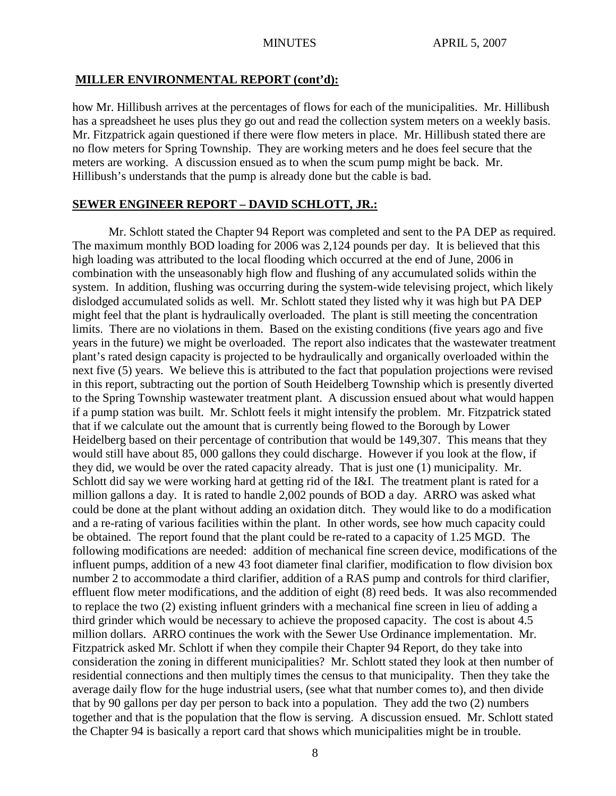#### **MILLER ENVIRONMENTAL REPORT (cont'd):**

how Mr. Hillibush arrives at the percentages of flows for each of the municipalities. Mr. Hillibush has a spreadsheet he uses plus they go out and read the collection system meters on a weekly basis. Mr. Fitzpatrick again questioned if there were flow meters in place. Mr. Hillibush stated there are no flow meters for Spring Township. They are working meters and he does feel secure that the meters are working. A discussion ensued as to when the scum pump might be back. Mr. Hillibush's understands that the pump is already done but the cable is bad.

#### **SEWER ENGINEER REPORT – DAVID SCHLOTT, JR.:**

Mr. Schlott stated the Chapter 94 Report was completed and sent to the PA DEP as required. The maximum monthly BOD loading for 2006 was 2,124 pounds per day. It is believed that this high loading was attributed to the local flooding which occurred at the end of June, 2006 in combination with the unseasonably high flow and flushing of any accumulated solids within the system. In addition, flushing was occurring during the system-wide televising project, which likely dislodged accumulated solids as well. Mr. Schlott stated they listed why it was high but PA DEP might feel that the plant is hydraulically overloaded. The plant is still meeting the concentration limits. There are no violations in them. Based on the existing conditions (five years ago and five years in the future) we might be overloaded. The report also indicates that the wastewater treatment plant's rated design capacity is projected to be hydraulically and organically overloaded within the next five (5) years. We believe this is attributed to the fact that population projections were revised in this report, subtracting out the portion of South Heidelberg Township which is presently diverted to the Spring Township wastewater treatment plant. A discussion ensued about what would happen if a pump station was built. Mr. Schlott feels it might intensify the problem. Mr. Fitzpatrick stated that if we calculate out the amount that is currently being flowed to the Borough by Lower Heidelberg based on their percentage of contribution that would be 149,307. This means that they would still have about 85, 000 gallons they could discharge. However if you look at the flow, if they did, we would be over the rated capacity already. That is just one (1) municipality. Mr. Schlott did say we were working hard at getting rid of the I&I. The treatment plant is rated for a million gallons a day. It is rated to handle 2,002 pounds of BOD a day. ARRO was asked what could be done at the plant without adding an oxidation ditch. They would like to do a modification and a re-rating of various facilities within the plant. In other words, see how much capacity could be obtained. The report found that the plant could be re-rated to a capacity of 1.25 MGD. The following modifications are needed: addition of mechanical fine screen device, modifications of the influent pumps, addition of a new 43 foot diameter final clarifier, modification to flow division box number 2 to accommodate a third clarifier, addition of a RAS pump and controls for third clarifier, effluent flow meter modifications, and the addition of eight (8) reed beds. It was also recommended to replace the two (2) existing influent grinders with a mechanical fine screen in lieu of adding a third grinder which would be necessary to achieve the proposed capacity. The cost is about 4.5 million dollars. ARRO continues the work with the Sewer Use Ordinance implementation. Mr. Fitzpatrick asked Mr. Schlott if when they compile their Chapter 94 Report, do they take into consideration the zoning in different municipalities? Mr. Schlott stated they look at then number of residential connections and then multiply times the census to that municipality. Then they take the average daily flow for the huge industrial users, (see what that number comes to), and then divide that by 90 gallons per day per person to back into a population. They add the two (2) numbers together and that is the population that the flow is serving. A discussion ensued. Mr. Schlott stated the Chapter 94 is basically a report card that shows which municipalities might be in trouble.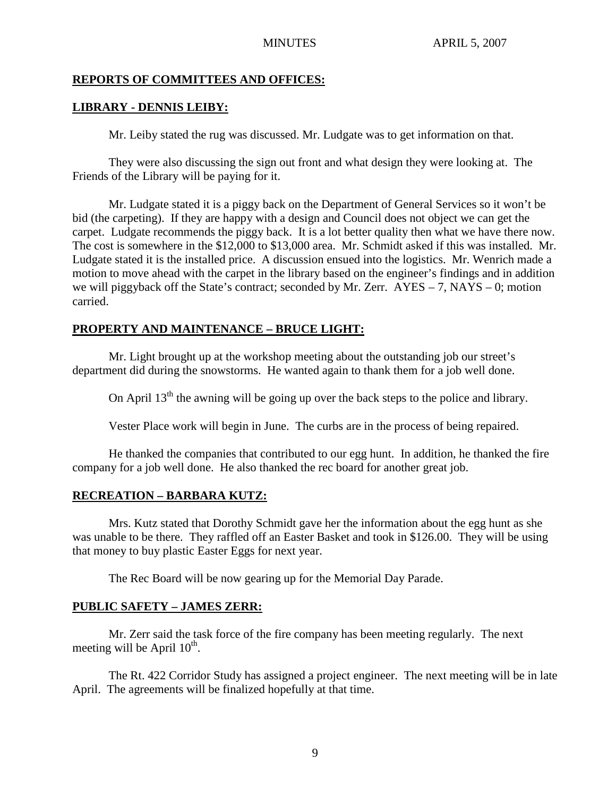# **REPORTS OF COMMITTEES AND OFFICES:**

## **LIBRARY - DENNIS LEIBY:**

Mr. Leiby stated the rug was discussed. Mr. Ludgate was to get information on that.

They were also discussing the sign out front and what design they were looking at. The Friends of the Library will be paying for it.

Mr. Ludgate stated it is a piggy back on the Department of General Services so it won't be bid (the carpeting). If they are happy with a design and Council does not object we can get the carpet. Ludgate recommends the piggy back. It is a lot better quality then what we have there now. The cost is somewhere in the \$12,000 to \$13,000 area. Mr. Schmidt asked if this was installed. Mr. Ludgate stated it is the installed price. A discussion ensued into the logistics. Mr. Wenrich made a motion to move ahead with the carpet in the library based on the engineer's findings and in addition we will piggyback off the State's contract; seconded by Mr. Zerr.  $AYES - 7$ ,  $NAYS - 0$ ; motion carried.

## **PROPERTY AND MAINTENANCE – BRUCE LIGHT:**

Mr. Light brought up at the workshop meeting about the outstanding job our street's department did during the snowstorms. He wanted again to thank them for a job well done.

On April  $13<sup>th</sup>$  the awning will be going up over the back steps to the police and library.

Vester Place work will begin in June. The curbs are in the process of being repaired.

He thanked the companies that contributed to our egg hunt. In addition, he thanked the fire company for a job well done. He also thanked the rec board for another great job.

#### **RECREATION – BARBARA KUTZ:**

Mrs. Kutz stated that Dorothy Schmidt gave her the information about the egg hunt as she was unable to be there. They raffled off an Easter Basket and took in \$126.00. They will be using that money to buy plastic Easter Eggs for next year.

The Rec Board will be now gearing up for the Memorial Day Parade.

# **PUBLIC SAFETY – JAMES ZERR:**

Mr. Zerr said the task force of the fire company has been meeting regularly. The next meeting will be April  $10^{th}$ .

The Rt. 422 Corridor Study has assigned a project engineer. The next meeting will be in late April. The agreements will be finalized hopefully at that time.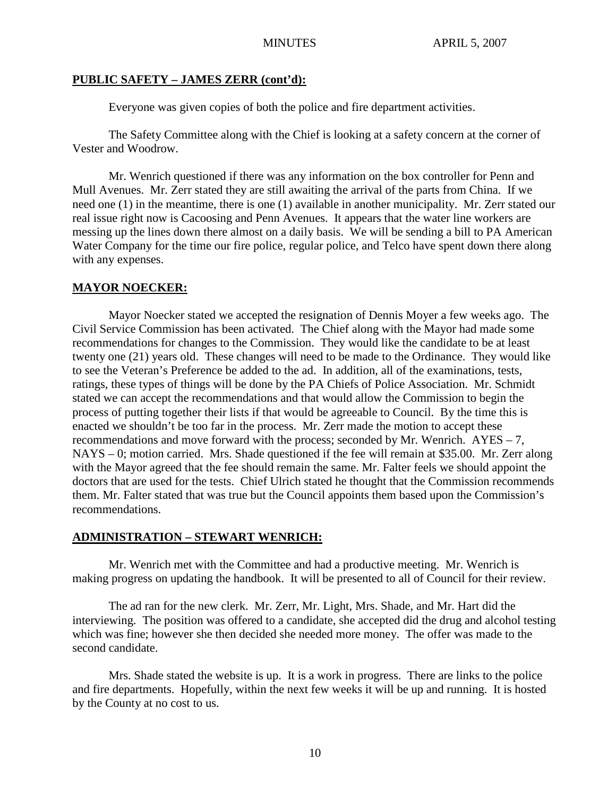## **PUBLIC SAFETY – JAMES ZERR (cont'd):**

Everyone was given copies of both the police and fire department activities.

The Safety Committee along with the Chief is looking at a safety concern at the corner of Vester and Woodrow.

Mr. Wenrich questioned if there was any information on the box controller for Penn and Mull Avenues. Mr. Zerr stated they are still awaiting the arrival of the parts from China. If we need one (1) in the meantime, there is one (1) available in another municipality. Mr. Zerr stated our real issue right now is Cacoosing and Penn Avenues. It appears that the water line workers are messing up the lines down there almost on a daily basis. We will be sending a bill to PA American Water Company for the time our fire police, regular police, and Telco have spent down there along with any expenses.

## **MAYOR NOECKER:**

Mayor Noecker stated we accepted the resignation of Dennis Moyer a few weeks ago. The Civil Service Commission has been activated. The Chief along with the Mayor had made some recommendations for changes to the Commission. They would like the candidate to be at least twenty one (21) years old. These changes will need to be made to the Ordinance. They would like to see the Veteran's Preference be added to the ad. In addition, all of the examinations, tests, ratings, these types of things will be done by the PA Chiefs of Police Association. Mr. Schmidt stated we can accept the recommendations and that would allow the Commission to begin the process of putting together their lists if that would be agreeable to Council. By the time this is enacted we shouldn't be too far in the process. Mr. Zerr made the motion to accept these recommendations and move forward with the process; seconded by Mr. Wenrich. AYES – 7, NAYS – 0; motion carried. Mrs. Shade questioned if the fee will remain at \$35.00. Mr. Zerr along with the Mayor agreed that the fee should remain the same. Mr. Falter feels we should appoint the doctors that are used for the tests. Chief Ulrich stated he thought that the Commission recommends them. Mr. Falter stated that was true but the Council appoints them based upon the Commission's recommendations.

#### **ADMINISTRATION – STEWART WENRICH:**

Mr. Wenrich met with the Committee and had a productive meeting. Mr. Wenrich is making progress on updating the handbook. It will be presented to all of Council for their review.

The ad ran for the new clerk. Mr. Zerr, Mr. Light, Mrs. Shade, and Mr. Hart did the interviewing. The position was offered to a candidate, she accepted did the drug and alcohol testing which was fine; however she then decided she needed more money. The offer was made to the second candidate.

Mrs. Shade stated the website is up. It is a work in progress. There are links to the police and fire departments. Hopefully, within the next few weeks it will be up and running. It is hosted by the County at no cost to us.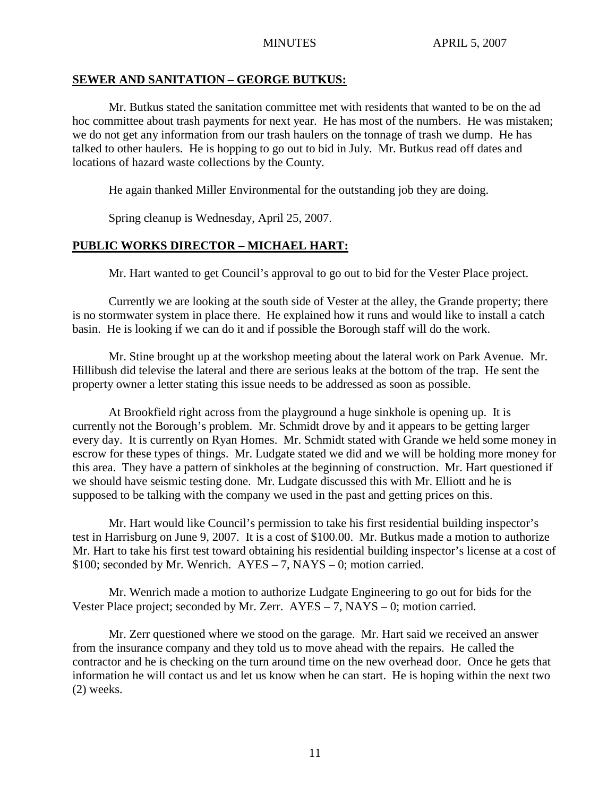#### **SEWER AND SANITATION – GEORGE BUTKUS:**

Mr. Butkus stated the sanitation committee met with residents that wanted to be on the ad hoc committee about trash payments for next year. He has most of the numbers. He was mistaken; we do not get any information from our trash haulers on the tonnage of trash we dump. He has talked to other haulers. He is hopping to go out to bid in July. Mr. Butkus read off dates and locations of hazard waste collections by the County.

He again thanked Miller Environmental for the outstanding job they are doing.

Spring cleanup is Wednesday, April 25, 2007.

# **PUBLIC WORKS DIRECTOR – MICHAEL HART:**

Mr. Hart wanted to get Council's approval to go out to bid for the Vester Place project.

Currently we are looking at the south side of Vester at the alley, the Grande property; there is no stormwater system in place there. He explained how it runs and would like to install a catch basin. He is looking if we can do it and if possible the Borough staff will do the work.

Mr. Stine brought up at the workshop meeting about the lateral work on Park Avenue. Mr. Hillibush did televise the lateral and there are serious leaks at the bottom of the trap. He sent the property owner a letter stating this issue needs to be addressed as soon as possible.

At Brookfield right across from the playground a huge sinkhole is opening up. It is currently not the Borough's problem. Mr. Schmidt drove by and it appears to be getting larger every day. It is currently on Ryan Homes. Mr. Schmidt stated with Grande we held some money in escrow for these types of things. Mr. Ludgate stated we did and we will be holding more money for this area. They have a pattern of sinkholes at the beginning of construction. Mr. Hart questioned if we should have seismic testing done. Mr. Ludgate discussed this with Mr. Elliott and he is supposed to be talking with the company we used in the past and getting prices on this.

Mr. Hart would like Council's permission to take his first residential building inspector's test in Harrisburg on June 9, 2007. It is a cost of \$100.00. Mr. Butkus made a motion to authorize Mr. Hart to take his first test toward obtaining his residential building inspector's license at a cost of \$100; seconded by Mr. Wenrich. AYES – 7, NAYS – 0; motion carried.

Mr. Wenrich made a motion to authorize Ludgate Engineering to go out for bids for the Vester Place project; seconded by Mr. Zerr. AYES – 7, NAYS – 0; motion carried.

Mr. Zerr questioned where we stood on the garage. Mr. Hart said we received an answer from the insurance company and they told us to move ahead with the repairs. He called the contractor and he is checking on the turn around time on the new overhead door. Once he gets that information he will contact us and let us know when he can start. He is hoping within the next two (2) weeks.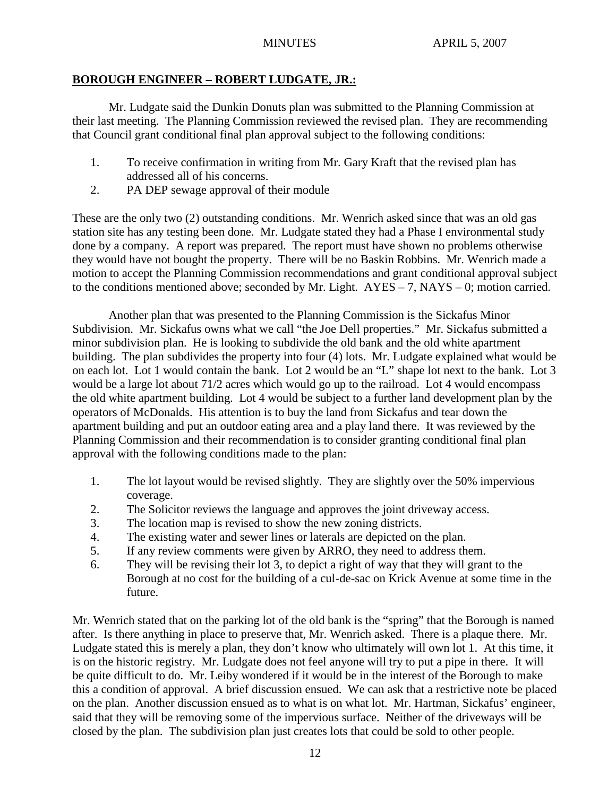# **BOROUGH ENGINEER – ROBERT LUDGATE, JR.:**

Mr. Ludgate said the Dunkin Donuts plan was submitted to the Planning Commission at their last meeting. The Planning Commission reviewed the revised plan. They are recommending that Council grant conditional final plan approval subject to the following conditions:

- 1. To receive confirmation in writing from Mr. Gary Kraft that the revised plan has addressed all of his concerns.
- 2. PA DEP sewage approval of their module

These are the only two (2) outstanding conditions. Mr. Wenrich asked since that was an old gas station site has any testing been done. Mr. Ludgate stated they had a Phase I environmental study done by a company. A report was prepared. The report must have shown no problems otherwise they would have not bought the property. There will be no Baskin Robbins. Mr. Wenrich made a motion to accept the Planning Commission recommendations and grant conditional approval subject to the conditions mentioned above; seconded by Mr. Light.  $AYES - 7$ ,  $NAYS - 0$ ; motion carried.

Another plan that was presented to the Planning Commission is the Sickafus Minor Subdivision. Mr. Sickafus owns what we call "the Joe Dell properties." Mr. Sickafus submitted a minor subdivision plan. He is looking to subdivide the old bank and the old white apartment building. The plan subdivides the property into four (4) lots. Mr. Ludgate explained what would be on each lot. Lot 1 would contain the bank. Lot 2 would be an "L" shape lot next to the bank. Lot 3 would be a large lot about 71/2 acres which would go up to the railroad. Lot 4 would encompass the old white apartment building. Lot 4 would be subject to a further land development plan by the operators of McDonalds. His attention is to buy the land from Sickafus and tear down the apartment building and put an outdoor eating area and a play land there. It was reviewed by the Planning Commission and their recommendation is to consider granting conditional final plan approval with the following conditions made to the plan:

- 1. The lot layout would be revised slightly. They are slightly over the 50% impervious coverage.
- 2. The Solicitor reviews the language and approves the joint driveway access.
- 3. The location map is revised to show the new zoning districts.
- 4. The existing water and sewer lines or laterals are depicted on the plan.
- 5. If any review comments were given by ARRO, they need to address them.
- 6. They will be revising their lot 3, to depict a right of way that they will grant to the Borough at no cost for the building of a cul-de-sac on Krick Avenue at some time in the future.

Mr. Wenrich stated that on the parking lot of the old bank is the "spring" that the Borough is named after. Is there anything in place to preserve that, Mr. Wenrich asked. There is a plaque there. Mr. Ludgate stated this is merely a plan, they don't know who ultimately will own lot 1. At this time, it is on the historic registry. Mr. Ludgate does not feel anyone will try to put a pipe in there. It will be quite difficult to do. Mr. Leiby wondered if it would be in the interest of the Borough to make this a condition of approval. A brief discussion ensued. We can ask that a restrictive note be placed on the plan. Another discussion ensued as to what is on what lot. Mr. Hartman, Sickafus' engineer, said that they will be removing some of the impervious surface. Neither of the driveways will be closed by the plan. The subdivision plan just creates lots that could be sold to other people.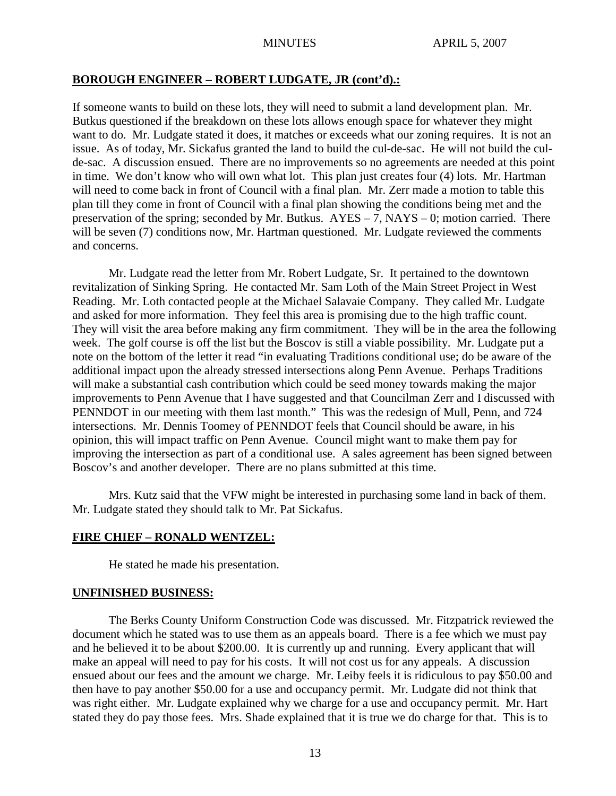#### **BOROUGH ENGINEER – ROBERT LUDGATE, JR (cont'd).:**

If someone wants to build on these lots, they will need to submit a land development plan. Mr. Butkus questioned if the breakdown on these lots allows enough space for whatever they might want to do. Mr. Ludgate stated it does, it matches or exceeds what our zoning requires. It is not an issue. As of today, Mr. Sickafus granted the land to build the cul-de-sac. He will not build the culde-sac. A discussion ensued. There are no improvements so no agreements are needed at this point in time. We don't know who will own what lot. This plan just creates four (4) lots. Mr. Hartman will need to come back in front of Council with a final plan. Mr. Zerr made a motion to table this plan till they come in front of Council with a final plan showing the conditions being met and the preservation of the spring; seconded by Mr. Butkus. AYES – 7, NAYS – 0; motion carried. There will be seven (7) conditions now, Mr. Hartman questioned. Mr. Ludgate reviewed the comments and concerns.

Mr. Ludgate read the letter from Mr. Robert Ludgate, Sr. It pertained to the downtown revitalization of Sinking Spring. He contacted Mr. Sam Loth of the Main Street Project in West Reading. Mr. Loth contacted people at the Michael Salavaie Company. They called Mr. Ludgate and asked for more information. They feel this area is promising due to the high traffic count. They will visit the area before making any firm commitment. They will be in the area the following week. The golf course is off the list but the Boscov is still a viable possibility. Mr. Ludgate put a note on the bottom of the letter it read "in evaluating Traditions conditional use; do be aware of the additional impact upon the already stressed intersections along Penn Avenue. Perhaps Traditions will make a substantial cash contribution which could be seed money towards making the major improvements to Penn Avenue that I have suggested and that Councilman Zerr and I discussed with PENNDOT in our meeting with them last month." This was the redesign of Mull, Penn, and 724 intersections. Mr. Dennis Toomey of PENNDOT feels that Council should be aware, in his opinion, this will impact traffic on Penn Avenue. Council might want to make them pay for improving the intersection as part of a conditional use. A sales agreement has been signed between Boscov's and another developer. There are no plans submitted at this time.

Mrs. Kutz said that the VFW might be interested in purchasing some land in back of them. Mr. Ludgate stated they should talk to Mr. Pat Sickafus.

#### **FIRE CHIEF – RONALD WENTZEL:**

He stated he made his presentation.

#### **UNFINISHED BUSINESS:**

The Berks County Uniform Construction Code was discussed. Mr. Fitzpatrick reviewed the document which he stated was to use them as an appeals board. There is a fee which we must pay and he believed it to be about \$200.00. It is currently up and running. Every applicant that will make an appeal will need to pay for his costs. It will not cost us for any appeals. A discussion ensued about our fees and the amount we charge. Mr. Leiby feels it is ridiculous to pay \$50.00 and then have to pay another \$50.00 for a use and occupancy permit. Mr. Ludgate did not think that was right either. Mr. Ludgate explained why we charge for a use and occupancy permit. Mr. Hart stated they do pay those fees. Mrs. Shade explained that it is true we do charge for that. This is to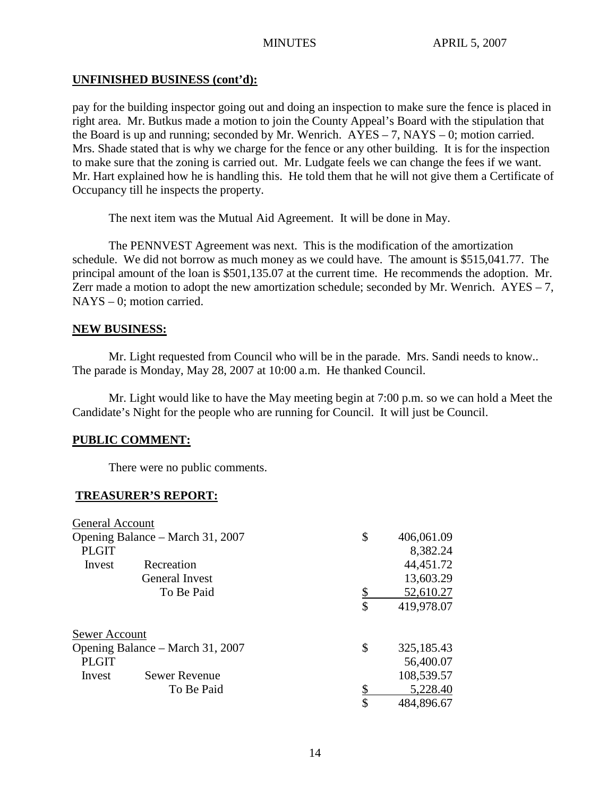## **UNFINISHED BUSINESS (cont'd):**

pay for the building inspector going out and doing an inspection to make sure the fence is placed in right area. Mr. Butkus made a motion to join the County Appeal's Board with the stipulation that the Board is up and running; seconded by Mr. Wenrich.  $AYES - 7$ ,  $NAYS - 0$ ; motion carried. Mrs. Shade stated that is why we charge for the fence or any other building. It is for the inspection to make sure that the zoning is carried out. Mr. Ludgate feels we can change the fees if we want. Mr. Hart explained how he is handling this. He told them that he will not give them a Certificate of Occupancy till he inspects the property.

The next item was the Mutual Aid Agreement. It will be done in May.

The PENNVEST Agreement was next. This is the modification of the amortization schedule. We did not borrow as much money as we could have. The amount is \$515,041.77. The principal amount of the loan is \$501,135.07 at the current time. He recommends the adoption. Mr. Zerr made a motion to adopt the new amortization schedule; seconded by Mr. Wenrich.  $AYES - 7$ , NAYS – 0; motion carried.

#### **NEW BUSINESS:**

Mr. Light requested from Council who will be in the parade. Mrs. Sandi needs to know.. The parade is Monday, May 28, 2007 at 10:00 a.m. He thanked Council.

Mr. Light would like to have the May meeting begin at 7:00 p.m. so we can hold a Meet the Candidate's Night for the people who are running for Council. It will just be Council.

# **PUBLIC COMMENT:**

There were no public comments.

#### **TREASURER'S REPORT:**

| General Account                  |                      |           |            |
|----------------------------------|----------------------|-----------|------------|
| Opening Balance – March 31, 2007 |                      | \$        | 406,061.09 |
| <b>PLGIT</b>                     |                      |           | 8,382.24   |
| Invest                           | Recreation           |           | 44,451.72  |
|                                  | General Invest       |           | 13,603.29  |
|                                  | To Be Paid           | <u>\$</u> | 52,610.27  |
|                                  |                      | \$        | 419,978.07 |
| Sewer Account                    |                      |           |            |
| Opening Balance – March 31, 2007 |                      | \$        | 325,185.43 |
| <b>PLGIT</b>                     |                      |           | 56,400.07  |
| Invest                           | <b>Sewer Revenue</b> |           | 108,539.57 |
|                                  | To Be Paid           |           | 5,228.40   |
|                                  |                      | \$        | 484,896.67 |